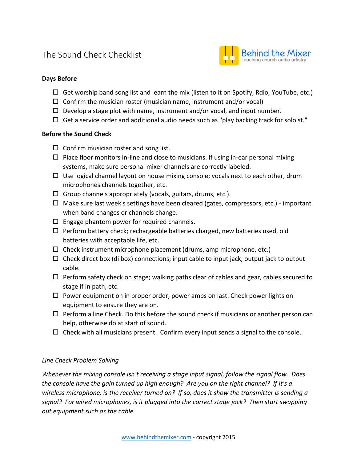# The Sound Check Checklist



# **Days Before**

- $\Box$  Get worship band song list and learn the mix (listen to it on Spotify, Rdio, YouTube, etc.)
- $\Box$  Confirm the musician roster (musician name, instrument and/or vocal)
- $\Box$  Develop a stage plot with name, instrument and/or vocal, and input number.
- $\Box$  Get a service order and additional audio needs such as "play backing track for soloist."

#### **Before the Sound Check**

- $\square$  Confirm musician roster and song list.
- $\Box$  Place floor monitors in-line and close to musicians. If using in-ear personal mixing systems, make sure personal mixer channels are correctly labeled.
- $\Box$  Use logical channel layout on house mixing console; vocals next to each other, drum microphones channels together, etc.
- $\Box$  Group channels appropriately (vocals, guitars, drums, etc.).
- $\Box$  Make sure last week's settings have been cleared (gates, compressors, etc.) important when band changes or channels change.
- $\Box$  Engage phantom power for required channels.
- $\Box$  Perform battery check; rechargeable batteries charged, new batteries used, old batteries with acceptable life, etc.
- $\Box$  Check instrument microphone placement (drums, amp microphone, etc.)
- $\Box$  Check direct box (di box) connections; input cable to input jack, output jack to output cable.
- $\Box$  Perform safety check on stage; walking paths clear of cables and gear, cables secured to stage if in path, etc.
- $\Box$  Power equipment on in proper order; power amps on last. Check power lights on equipment to ensure they are on.
- $\Box$  Perform a line Check. Do this before the sound check if musicians or another person can help, otherwise do at start of sound.
- $\Box$  Check with all musicians present. Confirm every input sends a signal to the console.

## *Line Check Problem Solving*

*Whenever the mixing console isn't receiving a stage input signal, follow the signal flow. Does the console have the gain turned up high enough? Are you on the right channel? If it's a wireless microphone, is the receiver turned on? If so, does it show the transmitter is sending a signal? For wired microphones, is it plugged into the correct stage jack? Then start swapping out equipment such as the cable.*